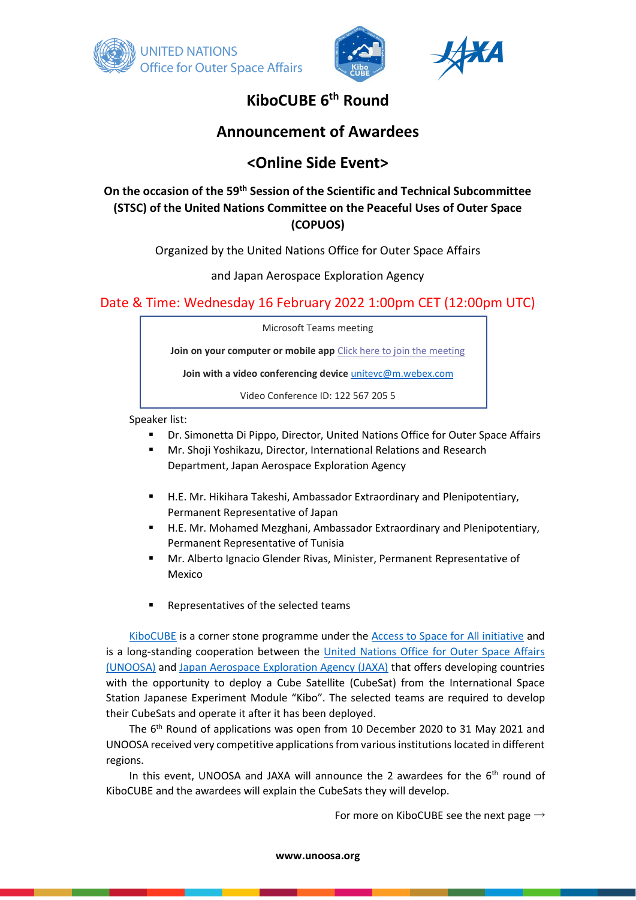





## **KiboCUBE 6th Round**

## **Announcement of Awardees**

# **<Online Side Event>**

## **On the occasion of the 59th Session of the Scientific and Technical Subcommittee (STSC) of the United Nations Committee on the Peaceful Uses of Outer Space (COPUOS)**

Organized by the United Nations Office for Outer Space Affairs

and Japan Aerospace Exploration Agency

## Date & Time: Wednesday 16 February 2022 1:00pm CET (12:00pm UTC)

Microsoft Teams meeting

**Join on your computer or mobile app** [Click here to join the meeting](https://teams.microsoft.com/l/meetup-join/19%3ameeting_YjAyYmQ0MmMtZDEwZS00ZmMyLTk0MTQtOGRiZDYyZDVmNGQ2%40thread.v2/0?context=%7b%22Tid%22%3a%220f9e35db-544f-4f60-bdcc-5ea416e6dc70%22%2c%22Oid%22%3a%227056aa47-5646-40f2-9176-9363905c22a6%22%7d)

**Join with a video conferencing device** [unitevc@m.webex.com](mailto:unitevc@m.webex.com)

Video Conference ID: 122 567 205 5

Speaker list:

- Dr. Simonetta Di Pippo, Director, United Nations Office for Outer Space Affairs
- Mr. Shoji Yoshikazu, Director, International Relations and Research Department, Japan Aerospace Exploration Agency
- H.E. Mr. Hikihara Takeshi, Ambassador Extraordinary and Plenipotentiary, Permanent Representative of Japan
- H.E. Mr. Mohamed Mezghani, Ambassador Extraordinary and Plenipotentiary, Permanent Representative of Tunisia
- Mr. Alberto Ignacio Glender Rivas, Minister, Permanent Representative of Mexico
- Representatives of the selected teams

[KiboCUBE](https://www.unoosa.org/oosa/en/ourwork/psa/hsti/kibocube.html) is a corner stone programme under the [Access to Space for All initiative](https://www.unoosa.org/oosa/en/ourwork/access2space4all/index.html) and is a long-standing cooperation between the [United Nations Office for Outer Space Affairs](https://www.unoosa.org/oosa/index.html)  [\(UNOOSA\)](https://www.unoosa.org/oosa/index.html) and [Japan Aerospace Exploration Agency \(JAXA\)](https://global.jaxa.jp/) that offers developing countries with the opportunity to deploy a Cube Satellite (CubeSat) from the International Space Station Japanese Experiment Module "Kibo". The selected teams are required to develop their CubeSats and operate it after it has been deployed.

The  $6<sup>th</sup>$  Round of applications was open from 10 December 2020 to 31 May 2021 and UNOOSA received very competitive applications from various institutions located in different regions.

In this event, UNOOSA and JAXA will announce the 2 awardees for the  $6<sup>th</sup>$  round of KiboCUBE and the awardees will explain the CubeSats they will develop.

For more on KiboCUBE see the next page  $\rightarrow$ 

**www.unoosa.org**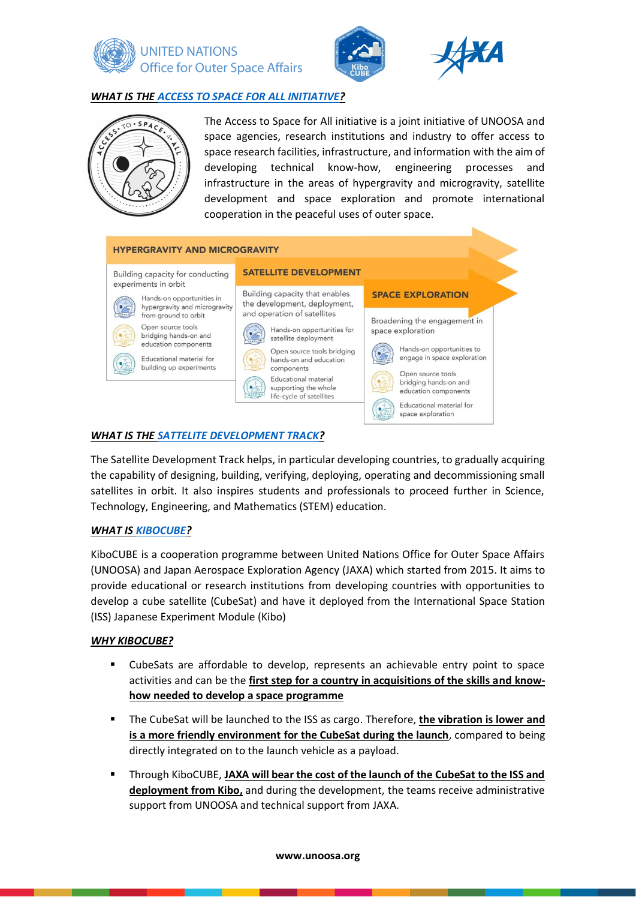





#### *WHAT IS THE [ACCESS TO SPACE FOR ALL INITIATIVE?](https://www.unoosa.org/oosa/en/ourwork/access2space4all/index.html)*



The Access to Space for All initiative is a joint initiative of UNOOSA and space agencies, research institutions and industry to offer access to space research facilities, infrastructure, and information with the aim of developing technical know-how, engineering processes and infrastructure in the areas of hypergravity and microgravity, satellite development and space exploration and promote international cooperation in the peaceful uses of outer space.

#### **HYPERGRAVITY AND MICROGRAVITY SATELLITE DEVELOPMENT** Building capacity for conducting experiments in orbit Building capacity that enables **SPACE EXPLORATION** Hands-on opportunities in the development, deployment, hypergravity and microgravity and operation of satellites from ground to orbit Broadening the engagement in Open source tools Hands-on opportunities for space exploration bridging hands-on and satellite deployment education components Hands-on opportunities to Open source tools bridging engage in space exploration Educational material for hands-on and education building up experiments components Onen source tools Educational material bridging hands-on and supporting the whole education components life-cycle of satellites Educational material for space exploration

## *WHAT IS THE [SATTELITE DEVELOPMENT TRACK?](https://www.unoosa.org/oosa/en/ourwork/access2space4all/SatDev_Track.html)*

The Satellite Development Track helps, in particular developing countries, to gradually acquiring the capability of designing, building, verifying, deploying, operating and decommissioning small satellites in orbit. It also inspires students and professionals to proceed further in Science, Technology, Engineering, and Mathematics (STEM) education.

#### *WHAT IS [KIBOCUBE?](https://www.unoosa.org/oosa/en/ourwork/access2space4all/KiboCUBE/KiboCUBE_Index.html)*

KiboCUBE is a cooperation programme between United Nations Office for Outer Space Affairs (UNOOSA) and Japan Aerospace Exploration Agency (JAXA) which started from 2015. It aims to provide educational or research institutions from developing countries with opportunities to develop a cube satellite (CubeSat) and have it deployed from the International Space Station (ISS) Japanese Experiment Module (Kibo)

#### *WHY KIBOCUBE?*

- CubeSats are affordable to develop, represents an achievable entry point to space activities and can be the **first step for a country in acquisitions of the skills and knowhow needed to develop a space programme**
- The CubeSat will be launched to the ISS as cargo. Therefore, **the vibration is lower and is a more friendly environment for the CubeSat during the launch**, compared to being directly integrated on to the launch vehicle as a payload.
- Through KiboCUBE, **JAXA will bear the cost of the launch of the CubeSat to the ISS and deployment from Kibo,** and during the development, the teams receive administrative support from UNOOSA and technical support from JAXA.

#### **www.unoosa.org**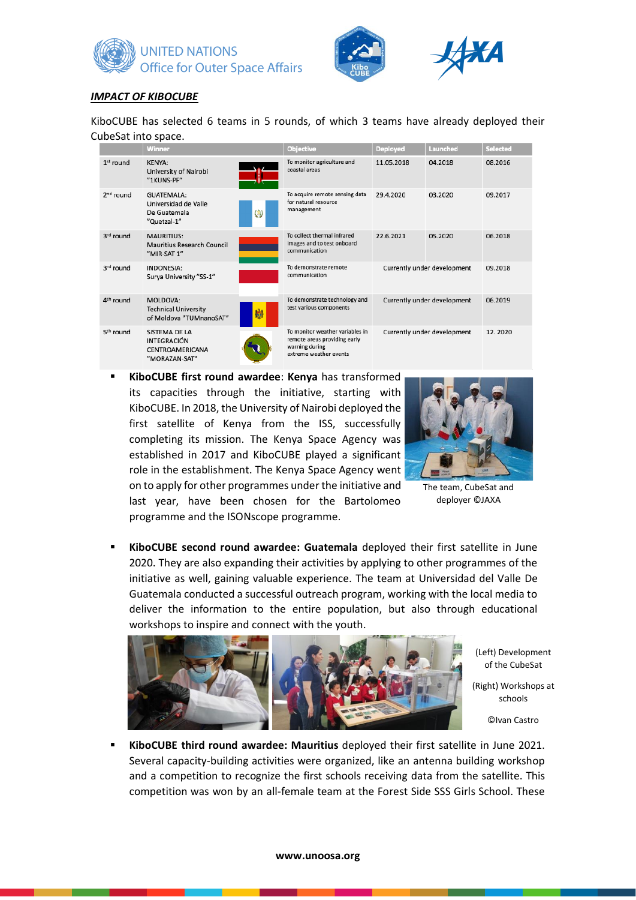





#### *IMPACT OF KIBOCUBE*

KiboCUBE has selected 6 teams in 5 rounds, of which 3 teams have already deployed their CubeSat into space.

|                       | <b>Winner</b>                                                           |   | <b>Objective</b>                                                                                            | <b>Deployed</b> | Launched                    | <b>Selected</b> |
|-----------------------|-------------------------------------------------------------------------|---|-------------------------------------------------------------------------------------------------------------|-----------------|-----------------------------|-----------------|
| 1 <sup>st</sup> round | <b>KENYA:</b><br>University of Nairobi<br>"1KUNS-PF"                    |   | To monitor agriculture and<br>coastal areas                                                                 | 11.05.2018      | 04.2018                     | 08.2016         |
| $2nd$ round           | GUATEMALA:<br>Universidad de Valle<br>De Guatemala<br>"Quetzal-1"       | Ø | To acquire remote sensing data<br>for natural resource<br>management                                        | 29.4.2020       | 03.2020                     | 09.2017         |
| 3rd round             | <b>MAURITIUS:</b><br>Mauritius Research Council<br>"MIR-SAT 1"          |   | To collect thermal infrared<br>images and to test onboard<br>communication                                  | 22.6.2021       | 05.2020                     | 06.2018         |
| 3rd round             | <b>INDONESIA:</b><br>Surya University "SS-1"                            |   | To demonstrate remote<br>communication                                                                      |                 | Currently under development | 09.2018         |
| 4 <sup>th</sup> round | MOLDOVA:<br><b>Technical University</b><br>of Moldova "TUMnanoSAT"      | 臌 | To demonstrate technology and<br>test various components                                                    |                 | Currently under development | 06.2019         |
| 5 <sup>th</sup> round | SISTEMA DE LA<br><b>INTEGRACIÓN</b><br>CENTROAMERICANA<br>"MORAZAN-SAT" |   | To monitor weather variables in<br>remote areas providing early<br>warning during<br>extreme weather events |                 | Currently under development | 12.2020         |

**KiboCUBE** first round awardee: Kenya has transformed its capacities through the initiative, starting with KiboCUBE. In 2018, the University of Nairobi deployed the first satellite of Kenya from the ISS, successfully completing its mission. The Kenya Space Agency was established in 2017 and KiboCUBE played a significant role in the establishment. The Kenya Space Agency went on to apply for other programmes under the initiative and last year, have been chosen for the Bartolomeo programme and the ISONscope programme.



The team, CubeSat and deployer ©JAXA

▪ **KiboCUBE second round awardee: Guatemala** deployed their first satellite in June 2020. They are also expanding their activities by applying to other programmes of the initiative as well, gaining valuable experience. The team at Universidad del Valle De Guatemala conducted a successful outreach program, working with the local media to deliver the information to the entire population, but also through educational workshops to inspire and connect with the youth.



(Left) Development of the CubeSat

(Right) Workshops at schools

©Ivan Castro

▪ **KiboCUBE third round awardee: Mauritius** deployed their first satellite in June 2021. Several capacity-building activities were organized, like an antenna building workshop and a competition to recognize the first schools receiving data from the satellite. This competition was won by an all-female team at the Forest Side SSS Girls School. These